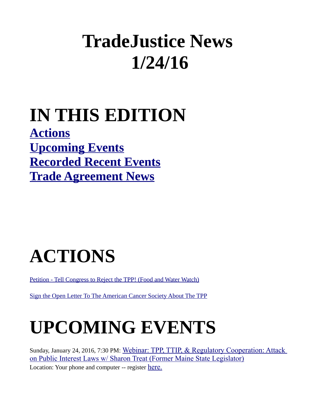# **TradeJustice News 1/24/16**

#### **IN THIS EDITION**

**Actions Upcoming Events Recorded Recent Events Trade Agreement News**

### **ACTIONS**

[Petition - Tell Congress to Reject the TPP! \(Food and Water Watch\)](https://secure.foodandwaterwatch.org/site/Advocacy;jsessionid=1E3769C534E0C0B087B64677B1A69811.app357a?pagename=homepage&page=UserAction&id=2490&autologin=true)

[Sign the Open Letter To The American Cancer Society About The TPP](https://docs.google.com/forms/d/1RN2om1H7V3EfTYdb25iURTlCp2lp62ZU1iWXGIGelMY/viewform)

# **UPCOMING EVENTS**

Sunday, January 24, 2016, 7:30 PM: Webinar: TPP, TTIP, & Regulatory Cooperation: Attack [on Public Interest Laws w/ Sharon Treat \(Former Maine State Legislator\)](http://tradejustice.us6.list-manage1.com/track/click?u=dfa3386146a1d70682e4f52aa&id=34aaccbfe6&e=93755f9018) Location: Your phone and computer -- register [here.](http://tradejustice.us6.list-manage.com/track/click?u=dfa3386146a1d70682e4f52aa&id=e0917c826f&e=93755f9018)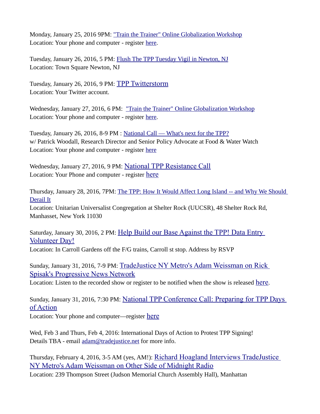Monday, January 25, 2016 9PM: ["Train the Trainer" Online Globalization Workshop](https://actionnetwork.org/events/train-the-trainer-globalization-workshop-jan-25th) Location: Your phone and computer - register [here.](https://actionnetwork.org/events/train-the-trainer-globalization-workshop-jan-25th)

Tuesday, January 26, 2016, 5 PM: [Flush The TPP Tuesday Vigil in Newton](http://tradejustice.us6.list-manage.com/track/click?u=dfa3386146a1d70682e4f52aa&id=0a413dffe4&e=93755f9018)[, NJ](http://tradejustice.us6.list-manage.com/track/click?u=dfa3386146a1d70682e4f52aa&id=a8672963c9&e=93755f9018) Location: Town Square Newton, NJ

Tuesday, January 26, 2016, 9 PM: [TPP Twitterstorm](http://tradejustice.us6.list-manage1.com/track/click?u=dfa3386146a1d70682e4f52aa&id=a7f545e1de&e=93755f9018) Location: Your Twitter account.

Wednesday, January 27, 2016, 6 PM: ["Train the Trainer" Online Globalization Workshop](https://actionnetwork.org/events/train-the-trainer-globalization-workshop) Location: Your phone and computer - register [here.](https://actionnetwork.org/events/train-the-trainer-globalization-workshop)

Tuesday, January 26, 2016, 8-9 PM : [National Call — What's next for the TPP?](http://act.foodandwaterwatch.org/site/Survey?ACTION_REQUIRED=URI_ACTION_USER_REQUESTS&SURVEY_ID=46260) w/ Patrick Woodall, Research Director and Senior Policy Advocate at Food & Water Watch Location: Your phone and computer - register [here](http://act.foodandwaterwatch.org/site/Survey?ACTION_REQUIRED=URI_ACTION_USER_REQUESTS&SURVEY_ID=46260)

Wednesday, January 27, 2016, 9 PM: [National TPP Resistance Call](http://tradejustice.us6.list-manage.com/track/click?u=dfa3386146a1d70682e4f52aa&id=d6333d74eb&e=93755f9018) Location: Your Phone and computer - register [here](http://tradejustice.us6.list-manage1.com/track/click?u=dfa3386146a1d70682e4f52aa&id=2a0491d000&e=93755f9018)

Thursday, January 28, 2016, 7PM: The TPP: How It Would Affect Long Island -- and Why We Should [Derail It](https://www.facebook.com/events/1647436578842461/)

Location: Unitarian Universalist Congregation at Shelter Rock (UUCSR), 48 Shelter Rock Rd, Manhasset, New York 11030

Saturday, January 30, 2016, 2 PM: Help Build our Base Against the TPP! Data Entry [Volunteer Day!](http://tradejustice.us6.list-manage1.com/track/click?u=dfa3386146a1d70682e4f52aa&id=6f619f7011&e=93755f9018) Location: In Carroll Gardens off the F/G trains, Carroll st stop. Address by RSVP

Sunday, January 31, 2016, 7-9 PM: [TradeJustice NY Metro's Adam Weissman on Rick](https://www.facebook.com/events/1129262560447911/)  [Spisak's Progressive News Network](https://www.facebook.com/events/1129262560447911/)

Location: Listen to the recorded show or register to be notified when the show is released [here](http://www.blogtalkradio.com/newmercurymedia).

Sunday, January 31, 2016, 7:30 PM: [National TPP Conference Call: Preparing for TPP Days](http://tradejustice.us6.list-manage1.com/track/click?u=dfa3386146a1d70682e4f52aa&id=49291b047e&e=93755f9018)  [of Action](http://tradejustice.us6.list-manage1.com/track/click?u=dfa3386146a1d70682e4f52aa&id=49291b047e&e=93755f9018)

Location: Your phone and computer—register [here](http://tradejustice.us6.list-manage.com/track/click?u=dfa3386146a1d70682e4f52aa&id=a34af296c3&e=93755f9018)

Wed, Feb 3 and Thurs, Feb 4, 2016: International Days of Action to Protest TPP Signing! Details TBA - email [adam@tradejustice.net](mailto:adam@tradejustice.net) for more info.

Thursday, February 4, 2016, 3-5 AM (yes, AM!): Richard Hoagland Interviews TradeJustice [NY Metro's Adam Weissman on Other Side of Midnight Radio](https://www.facebook.com/events/1676930542579438/) Location: 239 Thompson Street (Judson Memorial Church Assembly Hall), Manhattan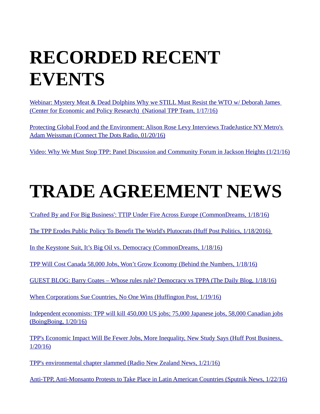# **RECORDED RECENT EVENTS**

Webinar: Mystery Meat & Dead Dolphins Why we STILL Must Resist the WTO w/ Deborah James  [\(Center for Economic and Policy Research\) \(National TPP Team, 1/17/16\)](https://www.youtube.com/watch?v=E2pM_3Kzhb8)

 [Protecting Global Food and the Environment: Alison Rose Levy Interviews TradeJustice NY Metro's](http://prn.fm/connect-the-dots-protecting-global-food-and-the-environment-01-20-16/)  Adam Weissman (Connect The Dots Radio, 01/20/16)

[Video: Why We Must Stop TPP: Panel Discussion and Community Forum in Jackson Heights \(1/21/16\)](https://www.youtube.com/watch?v=u-WfhwG8J_A)

## **TRADE AGREEMENT NEWS**

['Crafted By and For Big Business': TTIP Under Fire Across Europe \(CommonDreams, 1/18/16\)](http://www.commondreams.org/news/2016/01/18/crafted-and-big-business-ttip-under-fire-across-europe?utm_campaign=shareaholic&utm_medium=facebook&utm_source=socialnetwork)

[The TPP Erodes Public Policy To Benefit The World's Plutocrats \(Huff Post Politics, 1/18/2016\)](http://www.huffingtonpost.ca/sujata-dey/trans-pacific-partnership-plutocrats_b_9009838.html) 

[In the Keystone Suit, It's Big Oil vs. Democracy \(CommonDreams, 1/18/16\)](http://www.commondreams.org/views/2016/01/18/keystone-suit-its-big-oil-vs-democracy)

[TPP Will Cost Canada 58,000 Jobs, Won't Grow Economy \(Behind the Numbers, 1/18/16\)](http://behindthenumbers.ca/2016/01/18/tpp-will-cost-canada-jobs-wont-grow-economy/?utm_source=feedburner&utm_medium=feed&utm_campaign=Feed%3A+BehindTheNumbers+(Behind+the+Numbers))

[GUEST BLOG: Barry Coates – Whose rules rule? Democracy vs TPPA \(The Daily Blog, 1/18/16\)](http://thedailyblog.co.nz/2016/01/18/guest-blog-barry-coates-whose-rules-rule-democracy-vs-tppa/?utm_content=buffere5eea&utm_medium=social&utm_source=facebook.com&utm_campaign=buffer#sthash.nB3q6Fgc.dpuf)

[When Corporations Sue Countries, No One Wins \(Huffington Post, 1/19/16\)](http://www.huffingtonpost.ca/maude-barlow/corporations-sue-countries_b_9019384.html)

[Independent economists: TPP will kill 450,000 US jobs; 75,000 Japanese jobs, 58,000 Canadian jobs](http://boingboing.net/2016/01/20/independent-economists-tpp-wi.html) [\(BoingBoing, 1/20/16\)](http://boingboing.net/2016/01/20/independent-economists-tpp-wi.html)

[TPP's Economic Impact Will Be Fewer Jobs, More Inequality, New Study Says \(Huff Post Business,](http://www.huffingtonpost.ca/2016/01/20/tpp-economic-impact-canada-us_n_9029892.html)  [1/20/16\)](http://www.huffingtonpost.ca/2016/01/20/tpp-economic-impact-canada-us_n_9029892.html)

[TPP's environmental chapter slammed \(Radio New Zealand News, 1/21/16\)](http://www.radionz.co.nz/news/national/294592/tpp)

[Anti-TPP, Anti-Monsanto Protests to Take Place in Latin American Countries \(Sputnik News, 1/22/16\)](http://sputniknews.com/latam/20160122/1033575772/tpp-protests-latin.html#ixzz3y6QM8rs4)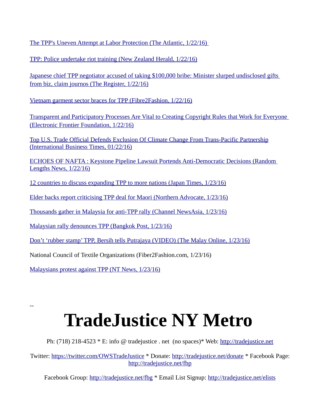[The TPP's Uneven Attempt at Labor Protection \(The Atlantic, 1/22/16\)](http://www.theatlantic.com/business/archive/2016/01/tpp-mexico-labor-rights/426501/) 

[TPP: Police undertake riot training \(New Zealand Herald, 1/22/16\)](http://www.nzherald.co.nz/nz/news/article.cfm?c_id=1&objectid=11578174)

[Japanese chief TPP negotiator accused of taking \\$100,000 bribe: Minister slurped undisclosed gifts](http://www.theregister.co.uk/2016/01/22/japanese_chief_tpp_negotiator_accused_of_100000_bribe/)  [from biz, claim journos \(The Register, 1/22/16\)](http://www.theregister.co.uk/2016/01/22/japanese_chief_tpp_negotiator_accused_of_100000_bribe/)

[Vietnam garment sector braces for TPP \(Fibre2Fashion, 1/22/16\)](http://www.fibre2fashion.com/news/apparel-news/vietnam-garment-sector-braces-for-tpp-177112-newsdetails.htm)

[Transparent and Participatory Processes Are Vital to Creating Copyright Rules that Work for Everyone](https://www.eff.org/deeplinks/2016/01/transparent-and-participatory-processes-vital-creating-copyright-rules-work)  [\(Electronic Frontier Foundation, 1/22/16\)](https://www.eff.org/deeplinks/2016/01/transparent-and-participatory-processes-vital-creating-copyright-rules-work)

[Top U.S. Trade Official Defends Exclusion Of Climate Change From Trans-Pacific Partnership](http://www.ibtimes.com/top-us-trade-official-defends-exclusion-climate-change-trans-pacific-partnership-2276835) [\(International Business Times, 01/22/16\)](http://www.ibtimes.com/top-us-trade-official-defends-exclusion-climate-change-trans-pacific-partnership-2276835)

[ECHOES OF NAFTA : Keystone Pipeline Lawsuit Portends Anti-Democratic Decisions \(Random](http://www.randomlengthsnews.com/echoes-of-nafta/)  [Lengths News, 1/22/16\)](http://www.randomlengthsnews.com/echoes-of-nafta/)

[12 countries to discuss expanding TPP to more nations \(Japan Times, 1/23/16\)](http://www.japantimes.co.jp/news/2016/01/23/business/economy-business/12-countries-discuss-expanding-tpp-nations/)

[Elder backs report criticising TPP deal for Maori \(Northern Advocate, 1/23/16\)](http://www.nzherald.co.nz/northern-advocate/news/article.cfm?c_id=1503450&objectid=11578273)

[Thousands gather in Malaysia for anti-TPP rally \(Channel NewsAsia, 1/23/16\)](http://www.channelnewsasia.com/news/asiapacific/thousands-gather-in/2451410.html)

[Malaysian rally denounces TPP \(Bangkok Post, 1/23/16\)](http://www.bangkokpost.com/news/asean/836608/thousands-denounce-tpp-in-kl)

[Don't 'rubber stamp' TPP, Bersih tells Putrajaya \(VIDEO\) \(The Malay Online, 1/23/16\)](http://www.themalaymailonline.com/malaysia/article/dont-rubber-stamp-tpp-bersih-tells-putrajaya)

National Council of Textile Organizations (Fiber2Fashion.com, 1/23/16)

[Malaysians protest against TPP \(NT News, 1/23/16\)](http://www.ntnews.com.au/news/breaking-news/malaysians-protest-against-tpp/news-story/d731176ffe2dd5b664e3feac22708e9b)

--

### **TradeJustice NY Metro**

Ph: (718) 218-4523  $* E$ : info @ tradejustice . net (no spaces) $*$  Web: [http://tradejustice.net](http://tradejustice.net/)

Twitter:<https://twitter.com/OWSTradeJustice>\* Donate:<http://tradejustice.net/donate>\* Facebook Page: <http://tradejustice.net/fbp>

Facebook Group:<http://tradejustice.net/fbg>\* Email List Signup:<http://tradejustice.net/elists>